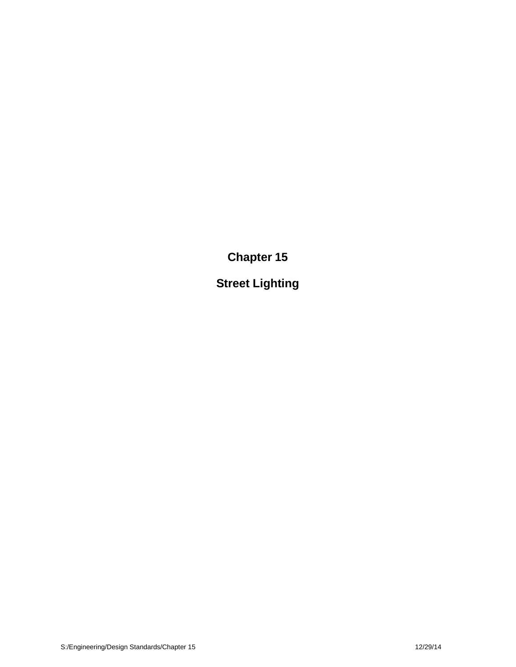**Chapter 15**

**Street Lighting**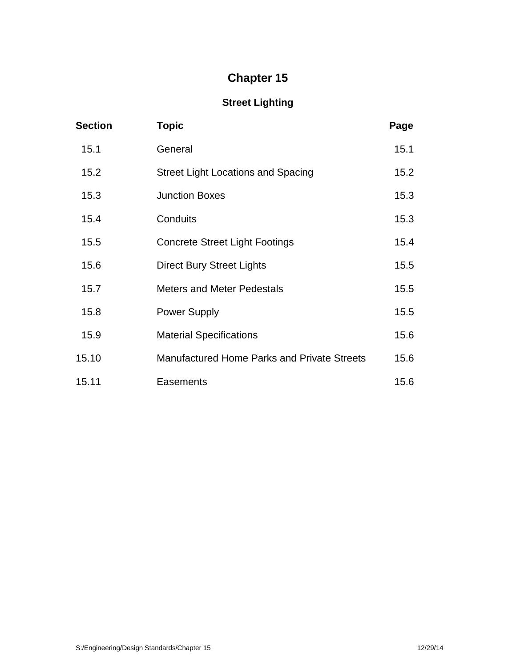# **Chapter 15**

# **Street Lighting**

| <b>Section</b> | <b>Topic</b>                                       | Page |  |
|----------------|----------------------------------------------------|------|--|
| 15.1           | General                                            | 15.1 |  |
| 15.2           | <b>Street Light Locations and Spacing</b>          | 15.2 |  |
| 15.3           | <b>Junction Boxes</b>                              | 15.3 |  |
| 15.4           | Conduits                                           | 15.3 |  |
| 15.5           | <b>Concrete Street Light Footings</b>              | 15.4 |  |
| 15.6           | <b>Direct Bury Street Lights</b>                   | 15.5 |  |
| 15.7           | <b>Meters and Meter Pedestals</b>                  | 15.5 |  |
| 15.8           | <b>Power Supply</b>                                | 15.5 |  |
| 15.9           | <b>Material Specifications</b>                     | 15.6 |  |
| 15.10          | <b>Manufactured Home Parks and Private Streets</b> | 15.6 |  |
| 15.11          | Easements                                          | 15.6 |  |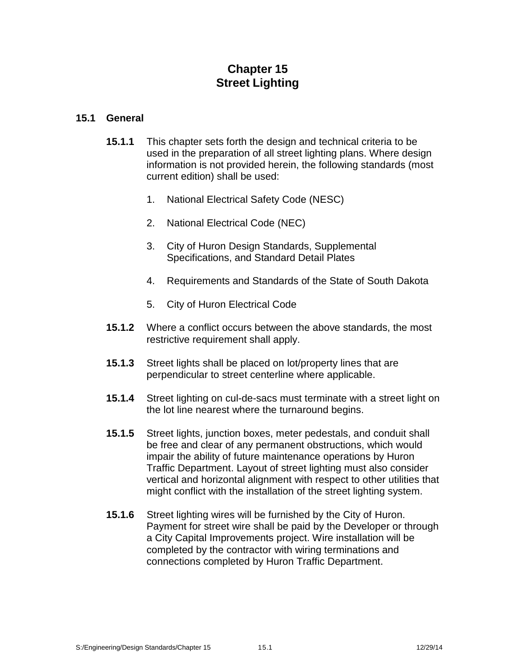# **Chapter 15 Street Lighting**

#### **15.1 General**

- **15.1.1** This chapter sets forth the design and technical criteria to be used in the preparation of all street lighting plans. Where design information is not provided herein, the following standards (most current edition) shall be used:
	- 1. National Electrical Safety Code (NESC)
	- 2. National Electrical Code (NEC)
	- 3. City of Huron Design Standards, Supplemental Specifications, and Standard Detail Plates
	- 4. Requirements and Standards of the State of South Dakota
	- 5. City of Huron Electrical Code
- **15.1.2** Where a conflict occurs between the above standards, the most restrictive requirement shall apply.
- **15.1.3** Street lights shall be placed on lot/property lines that are perpendicular to street centerline where applicable.
- **15.1.4** Street lighting on cul-de-sacs must terminate with a street light on the lot line nearest where the turnaround begins.
- **15.1.5** Street lights, junction boxes, meter pedestals, and conduit shall be free and clear of any permanent obstructions, which would impair the ability of future maintenance operations by Huron Traffic Department. Layout of street lighting must also consider vertical and horizontal alignment with respect to other utilities that might conflict with the installation of the street lighting system.
- **15.1.6** Street lighting wires will be furnished by the City of Huron. Payment for street wire shall be paid by the Developer or through a City Capital Improvements project. Wire installation will be completed by the contractor with wiring terminations and connections completed by Huron Traffic Department.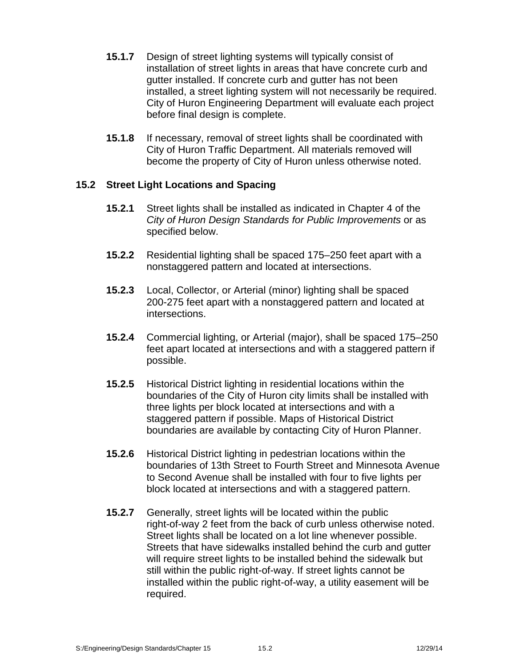- **15.1.7** Design of street lighting systems will typically consist of installation of street lights in areas that have concrete curb and gutter installed. If concrete curb and gutter has not been installed, a street lighting system will not necessarily be required. City of Huron Engineering Department will evaluate each project before final design is complete.
- **15.1.8** If necessary, removal of street lights shall be coordinated with City of Huron Traffic Department. All materials removed will become the property of City of Huron unless otherwise noted.

## **15.2 Street Light Locations and Spacing**

- **15.2.1** Street lights shall be installed as indicated in Chapter 4 of the *City of Huron Design Standards for Public Improvements* or as specified below.
- **15.2.2** Residential lighting shall be spaced 175–250 feet apart with a nonstaggered pattern and located at intersections.
- **15.2.3** Local, Collector, or Arterial (minor) lighting shall be spaced 200-275 feet apart with a nonstaggered pattern and located at intersections.
- **15.2.4** Commercial lighting, or Arterial (major), shall be spaced 175–250 feet apart located at intersections and with a staggered pattern if possible.
- **15.2.5** Historical District lighting in residential locations within the boundaries of the City of Huron city limits shall be installed with three lights per block located at intersections and with a staggered pattern if possible. Maps of Historical District boundaries are available by contacting City of Huron Planner.
- **15.2.6** Historical District lighting in pedestrian locations within the boundaries of 13th Street to Fourth Street and Minnesota Avenue to Second Avenue shall be installed with four to five lights per block located at intersections and with a staggered pattern.
- **15.2.7** Generally, street lights will be located within the public right-of-way 2 feet from the back of curb unless otherwise noted. Street lights shall be located on a lot line whenever possible. Streets that have sidewalks installed behind the curb and gutter will require street lights to be installed behind the sidewalk but still within the public right-of-way. If street lights cannot be installed within the public right-of-way, a utility easement will be required.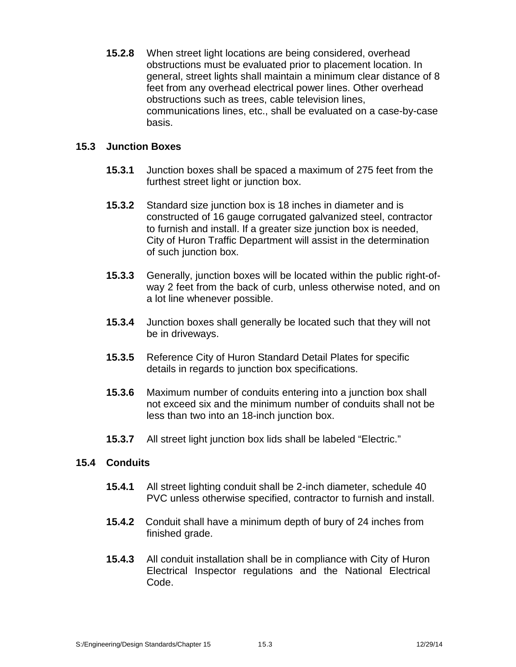**15.2.8** When street light locations are being considered, overhead obstructions must be evaluated prior to placement location. In general, street lights shall maintain a minimum clear distance of 8 feet from any overhead electrical power lines. Other overhead obstructions such as trees, cable television lines, communications lines, etc., shall be evaluated on a case-by-case basis.

# **15.3 Junction Boxes**

- **15.3.1** Junction boxes shall be spaced a maximum of 275 feet from the furthest street light or junction box.
- **15.3.2** Standard size junction box is 18 inches in diameter and is constructed of 16 gauge corrugated galvanized steel, contractor to furnish and install. If a greater size junction box is needed, City of Huron Traffic Department will assist in the determination of such junction box.
- **15.3.3** Generally, junction boxes will be located within the public right-of way 2 feet from the back of curb, unless otherwise noted, and on a lot line whenever possible.
- **15.3.4** Junction boxes shall generally be located such that they will not be in driveways.
- **15.3.5** Reference City of Huron Standard Detail Plates for specific details in regards to junction box specifications.
- **15.3.6** Maximum number of conduits entering into a junction box shall not exceed six and the minimum number of conduits shall not be less than two into an 18-inch junction box.
- **15.3.7** All street light junction box lids shall be labeled "Electric."

## **15.4 Conduits**

- **15.4.1** All street lighting conduit shall be 2-inch diameter, schedule 40 PVC unless otherwise specified, contractor to furnish and install.
- **15.4.2** Conduit shall have a minimum depth of bury of 24 inches from finished grade.
- **15.4.3** All conduit installation shall be in compliance with City of Huron Electrical Inspector regulations and the National Electrical Code.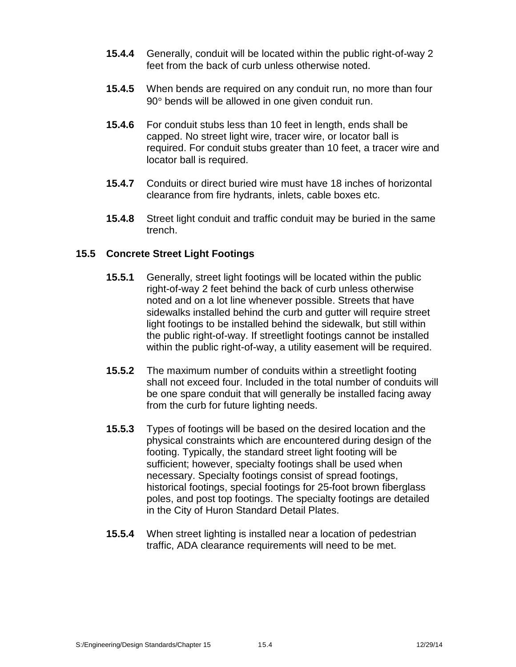- **15.4.4** Generally, conduit will be located within the public right-of-way 2 feet from the back of curb unless otherwise noted.
- **15.4.5** When bends are required on any conduit run, no more than four 90° bends will be allowed in one given conduit run.
- **15.4.6** For conduit stubs less than 10 feet in length, ends shall be capped. No street light wire, tracer wire, or locator ball is required. For conduit stubs greater than 10 feet, a tracer wire and locator ball is required.
- **15.4.7** Conduits or direct buried wire must have 18 inches of horizontal clearance from fire hydrants, inlets, cable boxes etc.
- **15.4.8** Street light conduit and traffic conduit may be buried in the same trench.

# **15.5 Concrete Street Light Footings**

- **15.5.1** Generally, street light footings will be located within the public right-of-way 2 feet behind the back of curb unless otherwise noted and on a lot line whenever possible. Streets that have sidewalks installed behind the curb and gutter will require street light footings to be installed behind the sidewalk, but still within the public right-of-way. If streetlight footings cannot be installed within the public right-of-way, a utility easement will be required.
- **15.5.2** The maximum number of conduits within a streetlight footing shall not exceed four. Included in the total number of conduits will be one spare conduit that will generally be installed facing away from the curb for future lighting needs.
- **15.5.3** Types of footings will be based on the desired location and the physical constraints which are encountered during design of the footing. Typically, the standard street light footing will be sufficient; however, specialty footings shall be used when necessary. Specialty footings consist of spread footings, historical footings, special footings for 25-foot brown fiberglass poles, and post top footings. The specialty footings are detailed in the City of Huron Standard Detail Plates.
- **15.5.4** When street lighting is installed near a location of pedestrian traffic, ADA clearance requirements will need to be met.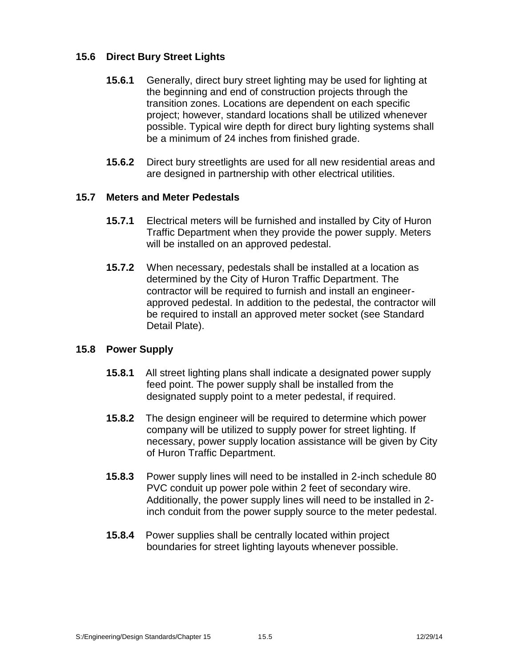# **15.6 Direct Bury Street Lights**

- **15.6.1** Generally, direct bury street lighting may be used for lighting at the beginning and end of construction projects through the transition zones. Locations are dependent on each specific project; however, standard locations shall be utilized whenever possible. Typical wire depth for direct bury lighting systems shall be a minimum of 24 inches from finished grade.
- **15.6.2** Direct bury streetlights are used for all new residential areas and are designed in partnership with other electrical utilities.

## **15.7 Meters and Meter Pedestals**

- **15.7.1** Electrical meters will be furnished and installed by City of Huron Traffic Department when they provide the power supply. Meters will be installed on an approved pedestal.
- **15.7.2** When necessary, pedestals shall be installed at a location as determined by the City of Huron Traffic Department. The contractor will be required to furnish and install an engineer approved pedestal. In addition to the pedestal, the contractor will be required to install an approved meter socket (see Standard Detail Plate).

## **15.8 Power Supply**

- **15.8.1** All street lighting plans shall indicate a designated power supply feed point. The power supply shall be installed from the designated supply point to a meter pedestal, if required.
- **15.8.2** The design engineer will be required to determine which power company will be utilized to supply power for street lighting. If necessary, power supply location assistance will be given by City of Huron Traffic Department.
- **15.8.3** Power supply lines will need to be installed in 2-inch schedule 80 PVC conduit up power pole within 2 feet of secondary wire. Additionally, the power supply lines will need to be installed in 2 inch conduit from the power supply source to the meter pedestal.
- **15.8.4** Power supplies shall be centrally located within project boundaries for street lighting layouts whenever possible.